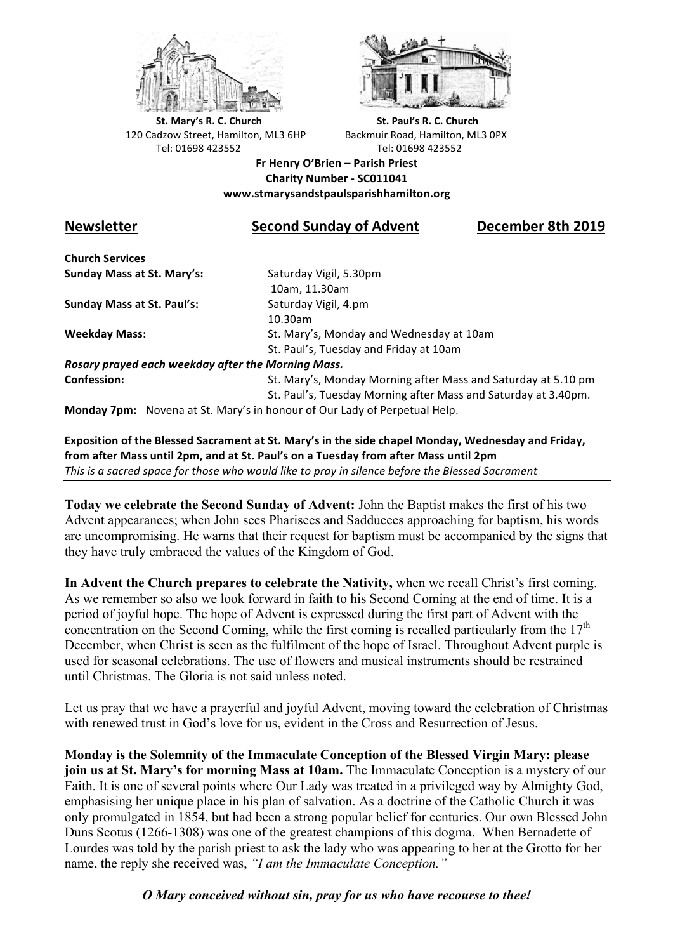



**St.** Mary's R. C. Church St. Paul's R. C. Church 120 Cadzow Street, Hamilton, ML3 6HP Backmuir Road, Hamilton, ML3 0PX Tel: 01698 423552 Tel: 01698 423552

**Fr Henry O'Brien – Parish Priest Charity Number - SC011041 www.stmarysandstpaulsparishhamilton.org**

# **Newsletter Second Sunday of Advent December 8th 2019**

**Church Services Sunday Mass at St. Mary's:** Saturday Vigil, 5.30pm

**Sunday Mass at St. Paul's:** Saturday Vigil, 4.pm

 10am, 11.30am 10.30am **Weekday Mass:** St. Mary's, Monday and Wednesday at 10am St. Paul's, Tuesday and Friday at 10am

*Rosary prayed each weekday after the Morning Mass.* **Confession:** St. Mary's, Monday Morning after Mass and Saturday at 5.10 pm

St. Paul's, Tuesday Morning after Mass and Saturday at 3.40pm.

**Monday 7pm:** Novena at St. Mary's in honour of Our Lady of Perpetual Help.

**Exposition of the Blessed Sacrament at St. Mary's in the side chapel Monday, Wednesday and Friday,** from after Mass until 2pm, and at St. Paul's on a Tuesday from after Mass until 2pm This is a sacred space for those who would like to pray in silence before the Blessed Sacrament

**Today we celebrate the Second Sunday of Advent:** John the Baptist makes the first of his two Advent appearances; when John sees Pharisees and Sadducees approaching for baptism, his words are uncompromising. He warns that their request for baptism must be accompanied by the signs that they have truly embraced the values of the Kingdom of God.

**In Advent the Church prepares to celebrate the Nativity,** when we recall Christ's first coming. As we remember so also we look forward in faith to his Second Coming at the end of time. It is a period of joyful hope. The hope of Advent is expressed during the first part of Advent with the concentration on the Second Coming, while the first coming is recalled particularly from the 17<sup>th</sup> December, when Christ is seen as the fulfilment of the hope of Israel. Throughout Advent purple is used for seasonal celebrations. The use of flowers and musical instruments should be restrained until Christmas. The Gloria is not said unless noted.

Let us pray that we have a prayerful and joyful Advent, moving toward the celebration of Christmas with renewed trust in God's love for us, evident in the Cross and Resurrection of Jesus.

**Monday is the Solemnity of the Immaculate Conception of the Blessed Virgin Mary: please join us at St. Mary's for morning Mass at 10am.** The Immaculate Conception is a mystery of our Faith. It is one of several points where Our Lady was treated in a privileged way by Almighty God, emphasising her unique place in his plan of salvation. As a doctrine of the Catholic Church it was only promulgated in 1854, but had been a strong popular belief for centuries. Our own Blessed John Duns Scotus (1266-1308) was one of the greatest champions of this dogma. When Bernadette of Lourdes was told by the parish priest to ask the lady who was appearing to her at the Grotto for her name, the reply she received was, *"I am the Immaculate Conception."*

*O Mary conceived without sin, pray for us who have recourse to thee!*